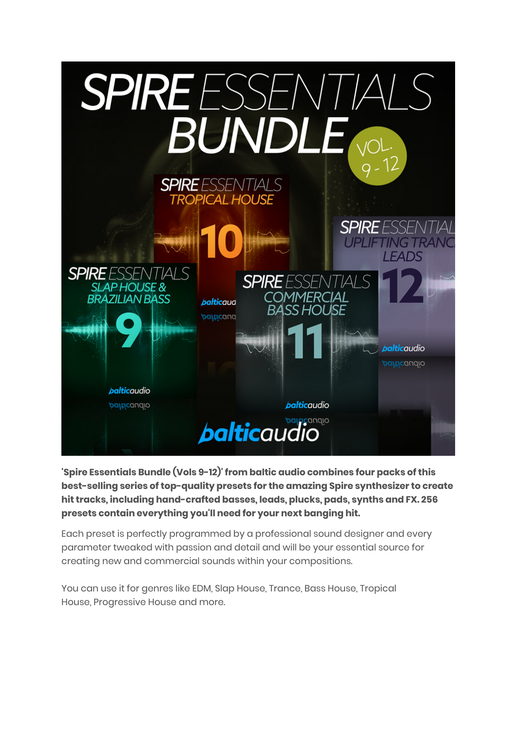

**'Spire Essentials Bundle (Vols 9-12)' from baltic audio combines four packs of this best-selling series of top-quality presets for the amazing Spire synthesizer to create hit tracks, including hand-crafted basses, leads, plucks, pads, synths and FX. 256 presets contain everything you'll need for your next banging hit.**

Each preset is perfectly programmed by a professional sound designer and every parameter tweaked with passion and detail and will be your essential source for creating new and commercial sounds within your compositions.

You can use it for genres like EDM, Slap House, Trance, Bass House, Tropical House, Progressive House and more.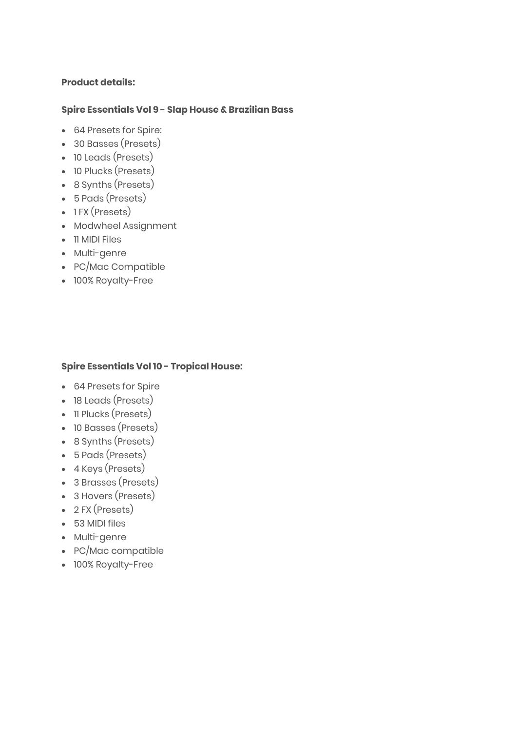# **Product details:**

# **Spire Essentials Vol 9 - Slap House & Brazilian Bass**

- 64 Presets for Spire:
- 30 Basses (Presets)
- 10 Leads (Presets)
- 10 Plucks (Presets)
- 8 Synths (Presets)
- 5 Pads (Presets)
- 1 FX (Presets)
- Modwheel Assignment
- 11 MIDI Files
- Multi-genre
- PC/Mac Compatible
- 100% Royalty-Free

# **Spire Essentials Vol 10 - Tropical House:**

- 64 Presets for Spire
- 18 Leads (Presets)
- 11 Plucks (Presets)
- 10 Basses (Presets)
- 8 Synths (Presets)
- 5 Pads (Presets)
- 4 Keys (Presets)
- 3 Brasses (Presets)
- 3 Hovers (Presets)
- 2 FX (Presets)
- 53 MIDI files
- Multi-genre
- PC/Mac compatible
- 100% Royalty-Free